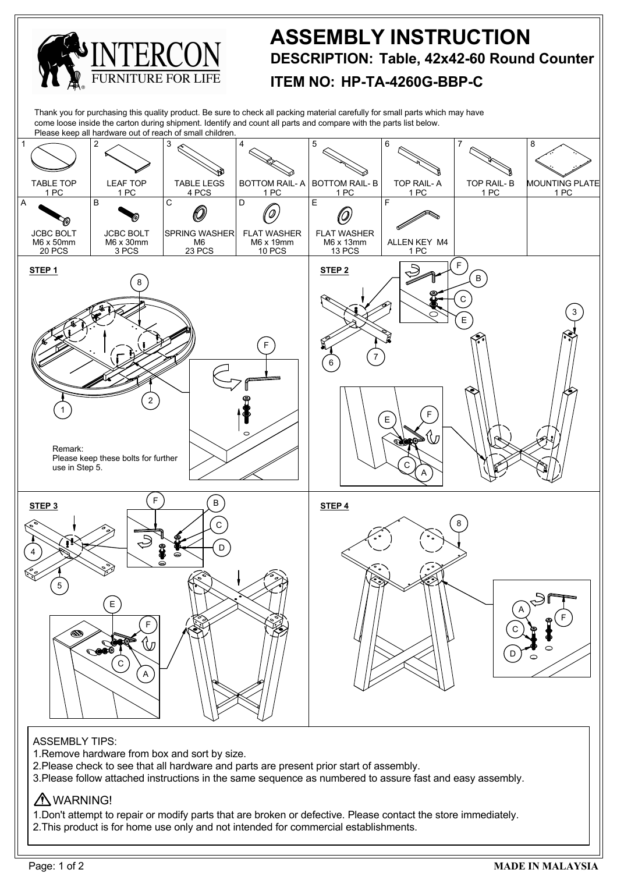

3.Please follow attached instructions in the same sequence as numbered to assure fast and easy assembly.

## A WARNING!

1.Don't attempt to repair or modify parts that are broken or defective. Please contact the store immediately. 2.This product is for home use only and not intended for commercial establishments.